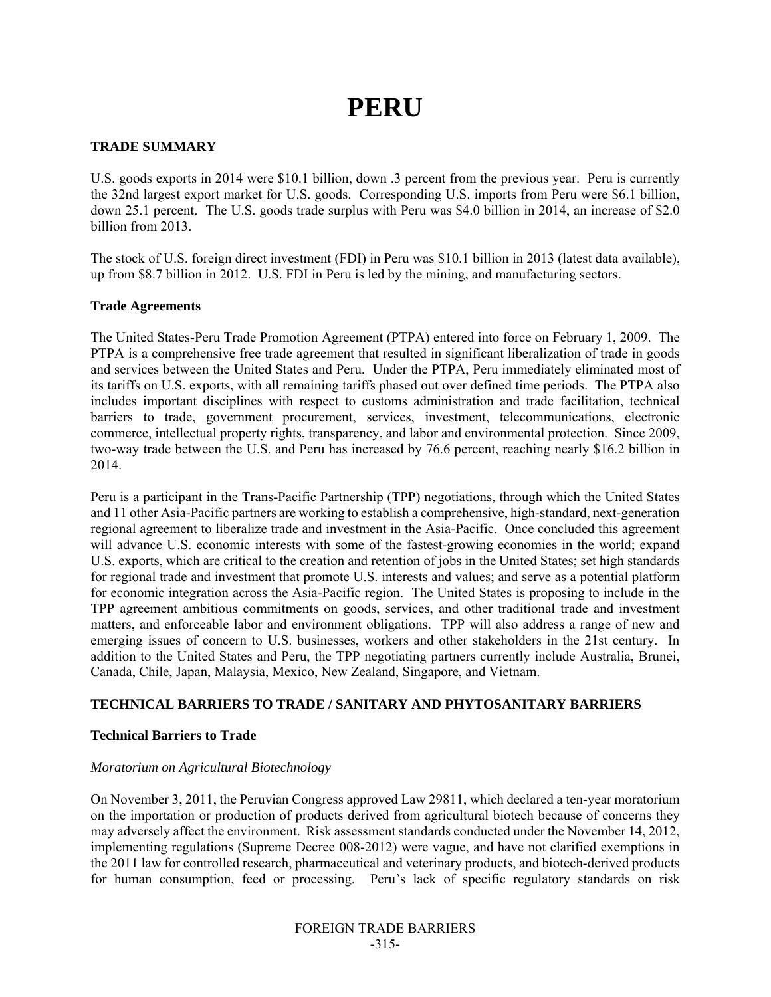# **PERU**

### **TRADE SUMMARY**

U.S. goods exports in 2014 were \$10.1 billion, down .3 percent from the previous year. Peru is currently the 32nd largest export market for U.S. goods. Corresponding U.S. imports from Peru were \$6.1 billion, down 25.1 percent. The U.S. goods trade surplus with Peru was \$4.0 billion in 2014, an increase of \$2.0 billion from 2013.

The stock of U.S. foreign direct investment (FDI) in Peru was \$10.1 billion in 2013 (latest data available), up from \$8.7 billion in 2012. U.S. FDI in Peru is led by the mining, and manufacturing sectors.

#### **Trade Agreements**

The United States-Peru Trade Promotion Agreement (PTPA) entered into force on February 1, 2009. The PTPA is a comprehensive free trade agreement that resulted in significant liberalization of trade in goods and services between the United States and Peru. Under the PTPA, Peru immediately eliminated most of its tariffs on U.S. exports, with all remaining tariffs phased out over defined time periods. The PTPA also includes important disciplines with respect to customs administration and trade facilitation, technical barriers to trade, government procurement, services, investment, telecommunications, electronic commerce, intellectual property rights, transparency, and labor and environmental protection. Since 2009, two-way trade between the U.S. and Peru has increased by 76.6 percent, reaching nearly \$16.2 billion in 2014.

Peru is a participant in the Trans-Pacific Partnership (TPP) negotiations, through which the United States and 11 other Asia-Pacific partners are working to establish a comprehensive, high-standard, next-generation regional agreement to liberalize trade and investment in the Asia-Pacific. Once concluded this agreement will advance U.S. economic interests with some of the fastest-growing economies in the world; expand U.S. exports, which are critical to the creation and retention of jobs in the United States; set high standards for regional trade and investment that promote U.S. interests and values; and serve as a potential platform for economic integration across the Asia-Pacific region. The United States is proposing to include in the TPP agreement ambitious commitments on goods, services, and other traditional trade and investment matters, and enforceable labor and environment obligations. TPP will also address a range of new and emerging issues of concern to U.S. businesses, workers and other stakeholders in the 21st century. In addition to the United States and Peru, the TPP negotiating partners currently include Australia, Brunei, Canada, Chile, Japan, Malaysia, Mexico, New Zealand, Singapore, and Vietnam.

#### **TECHNICAL BARRIERS TO TRADE / SANITARY AND PHYTOSANITARY BARRIERS**

#### **Technical Barriers to Trade**

#### *Moratorium on Agricultural Biotechnology*

On November 3, 2011, the Peruvian Congress approved Law 29811, which declared a ten-year moratorium on the importation or production of products derived from agricultural biotech because of concerns they may adversely affect the environment. Risk assessment standards conducted under the November 14, 2012, implementing regulations (Supreme Decree 008-2012) were vague, and have not clarified exemptions in the 2011 law for controlled research, pharmaceutical and veterinary products, and biotech-derived products for human consumption, feed or processing. Peru's lack of specific regulatory standards on risk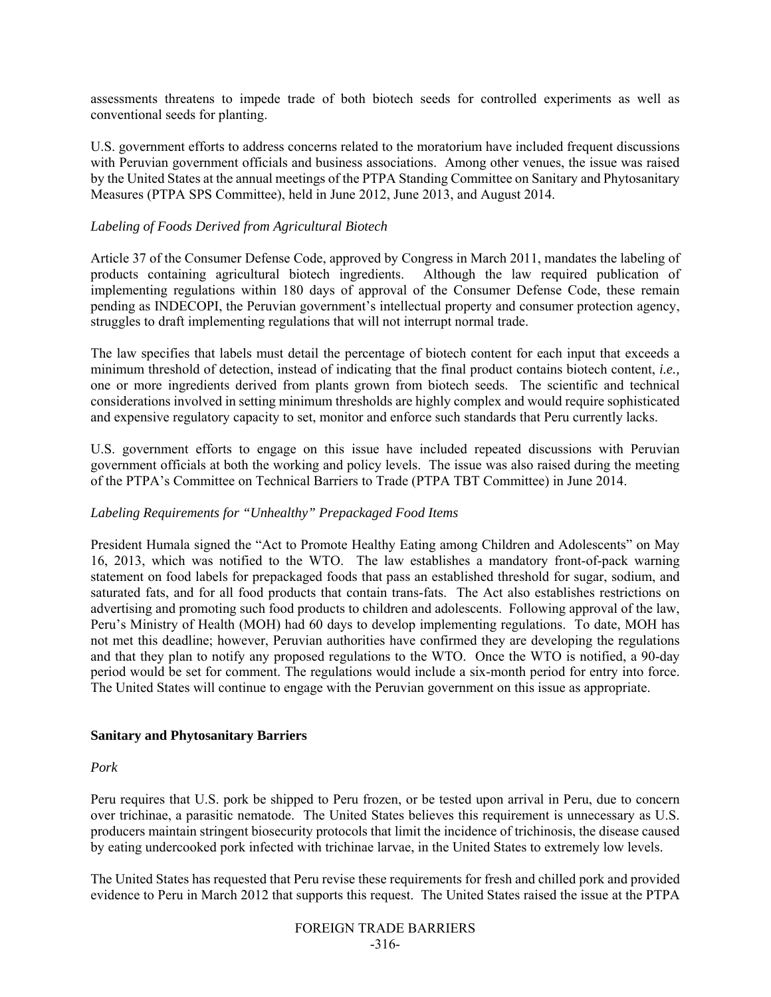assessments threatens to impede trade of both biotech seeds for controlled experiments as well as conventional seeds for planting.

U.S. government efforts to address concerns related to the moratorium have included frequent discussions with Peruvian government officials and business associations. Among other venues, the issue was raised by the United States at the annual meetings of the PTPA Standing Committee on Sanitary and Phytosanitary Measures (PTPA SPS Committee), held in June 2012, June 2013, and August 2014.

#### *Labeling of Foods Derived from Agricultural Biotech*

Article 37 of the Consumer Defense Code, approved by Congress in March 2011, mandates the labeling of products containing agricultural biotech ingredients. Although the law required publication of implementing regulations within 180 days of approval of the Consumer Defense Code, these remain pending as INDECOPI, the Peruvian government's intellectual property and consumer protection agency, struggles to draft implementing regulations that will not interrupt normal trade.

The law specifies that labels must detail the percentage of biotech content for each input that exceeds a minimum threshold of detection, instead of indicating that the final product contains biotech content, *i.e.,*  one or more ingredients derived from plants grown from biotech seeds. The scientific and technical considerations involved in setting minimum thresholds are highly complex and would require sophisticated and expensive regulatory capacity to set, monitor and enforce such standards that Peru currently lacks.

U.S. government efforts to engage on this issue have included repeated discussions with Peruvian government officials at both the working and policy levels. The issue was also raised during the meeting of the PTPA's Committee on Technical Barriers to Trade (PTPA TBT Committee) in June 2014.

#### *Labeling Requirements for "Unhealthy" Prepackaged Food Items*

President Humala signed the "Act to Promote Healthy Eating among Children and Adolescents" on May 16, 2013, which was notified to the WTO. The law establishes a mandatory front-of-pack warning statement on food labels for prepackaged foods that pass an established threshold for sugar, sodium, and saturated fats, and for all food products that contain trans-fats. The Act also establishes restrictions on advertising and promoting such food products to children and adolescents. Following approval of the law, Peru's Ministry of Health (MOH) had 60 days to develop implementing regulations. To date, MOH has not met this deadline; however, Peruvian authorities have confirmed they are developing the regulations and that they plan to notify any proposed regulations to the WTO. Once the WTO is notified, a 90-day period would be set for comment. The regulations would include a six-month period for entry into force. The United States will continue to engage with the Peruvian government on this issue as appropriate.

#### **Sanitary and Phytosanitary Barriers**

#### *Pork*

Peru requires that U.S. pork be shipped to Peru frozen, or be tested upon arrival in Peru, due to concern over trichinae, a parasitic nematode. The United States believes this requirement is unnecessary as U.S. producers maintain stringent biosecurity protocols that limit the incidence of trichinosis, the disease caused by eating undercooked pork infected with trichinae larvae, in the United States to extremely low levels.

The United States has requested that Peru revise these requirements for fresh and chilled pork and provided evidence to Peru in March 2012 that supports this request. The United States raised the issue at the PTPA

FOREIGN TRADE BARRIERS -316-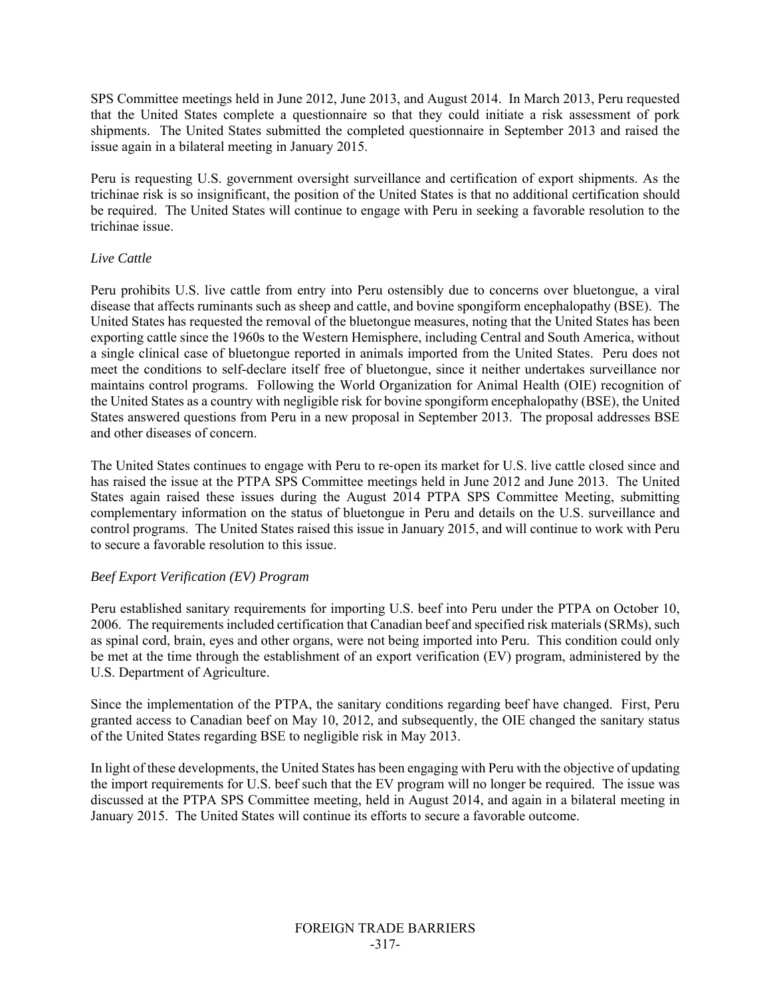SPS Committee meetings held in June 2012, June 2013, and August 2014. In March 2013, Peru requested that the United States complete a questionnaire so that they could initiate a risk assessment of pork shipments. The United States submitted the completed questionnaire in September 2013 and raised the issue again in a bilateral meeting in January 2015.

Peru is requesting U.S. government oversight surveillance and certification of export shipments. As the trichinae risk is so insignificant, the position of the United States is that no additional certification should be required. The United States will continue to engage with Peru in seeking a favorable resolution to the trichinae issue.

#### *Live Cattle*

Peru prohibits U.S. live cattle from entry into Peru ostensibly due to concerns over bluetongue, a viral disease that affects ruminants such as sheep and cattle, and bovine spongiform encephalopathy (BSE). The United States has requested the removal of the bluetongue measures, noting that the United States has been exporting cattle since the 1960s to the Western Hemisphere, including Central and South America, without a single clinical case of bluetongue reported in animals imported from the United States. Peru does not meet the conditions to self-declare itself free of bluetongue, since it neither undertakes surveillance nor maintains control programs. Following the World Organization for Animal Health (OIE) recognition of the United States as a country with negligible risk for bovine spongiform encephalopathy (BSE), the United States answered questions from Peru in a new proposal in September 2013. The proposal addresses BSE and other diseases of concern.

The United States continues to engage with Peru to re-open its market for U.S. live cattle closed since and has raised the issue at the PTPA SPS Committee meetings held in June 2012 and June 2013. The United States again raised these issues during the August 2014 PTPA SPS Committee Meeting, submitting complementary information on the status of bluetongue in Peru and details on the U.S. surveillance and control programs. The United States raised this issue in January 2015, and will continue to work with Peru to secure a favorable resolution to this issue.

## *Beef Export Verification (EV) Program*

Peru established sanitary requirements for importing U.S. beef into Peru under the PTPA on October 10, 2006. The requirements included certification that Canadian beef and specified risk materials (SRMs), such as spinal cord, brain, eyes and other organs, were not being imported into Peru. This condition could only be met at the time through the establishment of an export verification (EV) program, administered by the U.S. Department of Agriculture.

Since the implementation of the PTPA, the sanitary conditions regarding beef have changed. First, Peru granted access to Canadian beef on May 10, 2012, and subsequently, the OIE changed the sanitary status of the United States regarding BSE to negligible risk in May 2013.

In light of these developments, the United States has been engaging with Peru with the objective of updating the import requirements for U.S. beef such that the EV program will no longer be required. The issue was discussed at the PTPA SPS Committee meeting, held in August 2014, and again in a bilateral meeting in January 2015. The United States will continue its efforts to secure a favorable outcome.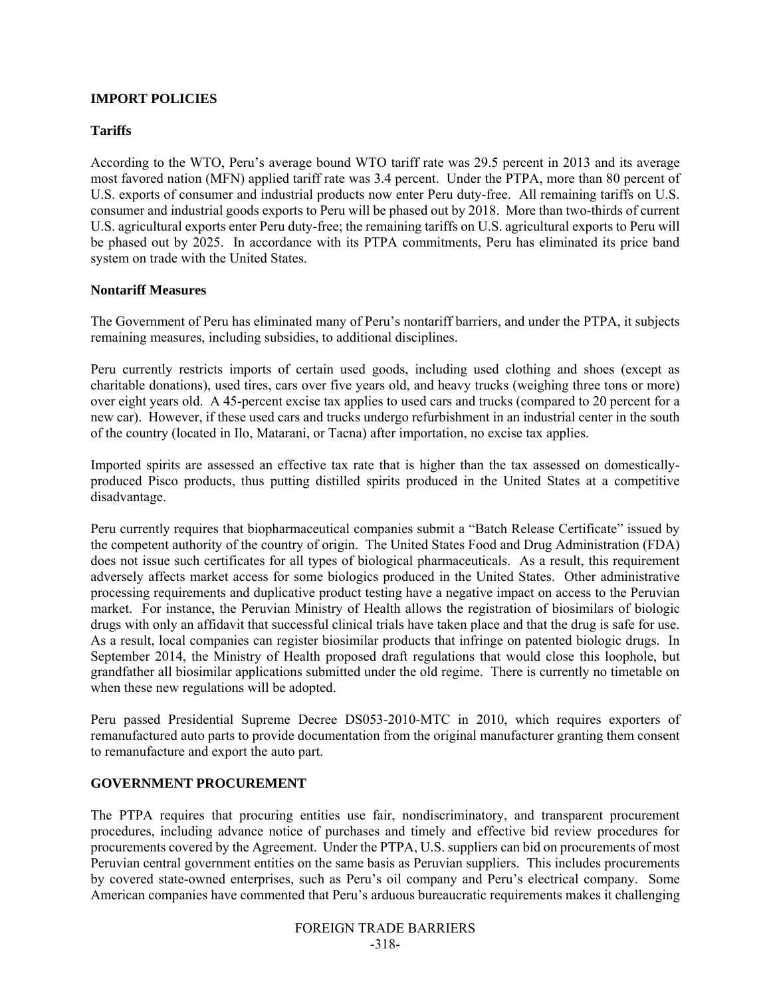#### **IMPORT POLICIES**

#### **Tariffs**

According to the WTO, Peru's average bound WTO tariff rate was 29.5 percent in 2013 and its average most favored nation (MFN) applied tariff rate was 3.4 percent. Under the PTPA, more than 80 percent of U.S. exports of consumer and industrial products now enter Peru duty-free. All remaining tariffs on U.S. consumer and industrial goods exports to Peru will be phased out by 2018. More than two-thirds of current U.S. agricultural exports enter Peru duty-free; the remaining tariffs on U.S. agricultural exports to Peru will be phased out by 2025. In accordance with its PTPA commitments, Peru has eliminated its price band system on trade with the United States.

#### **Nontariff Measures**

The Government of Peru has eliminated many of Peru's nontariff barriers, and under the PTPA, it subjects remaining measures, including subsidies, to additional disciplines.

Peru currently restricts imports of certain used goods, including used clothing and shoes (except as charitable donations), used tires, cars over five years old, and heavy trucks (weighing three tons or more) over eight years old. A 45-percent excise tax applies to used cars and trucks (compared to 20 percent for a new car). However, if these used cars and trucks undergo refurbishment in an industrial center in the south of the country (located in Ilo, Matarani, or Tacna) after importation, no excise tax applies.

Imported spirits are assessed an effective tax rate that is higher than the tax assessed on domesticallyproduced Pisco products, thus putting distilled spirits produced in the United States at a competitive disadvantage.

Peru currently requires that biopharmaceutical companies submit a "Batch Release Certificate" issued by the competent authority of the country of origin. The United States Food and Drug Administration (FDA) does not issue such certificates for all types of biological pharmaceuticals. As a result, this requirement adversely affects market access for some biologics produced in the United States. Other administrative processing requirements and duplicative product testing have a negative impact on access to the Peruvian market. For instance, the Peruvian Ministry of Health allows the registration of biosimilars of biologic drugs with only an affidavit that successful clinical trials have taken place and that the drug is safe for use. As a result, local companies can register biosimilar products that infringe on patented biologic drugs. In September 2014, the Ministry of Health proposed draft regulations that would close this loophole, but grandfather all biosimilar applications submitted under the old regime. There is currently no timetable on when these new regulations will be adopted.

Peru passed Presidential Supreme Decree DS053-2010-MTC in 2010, which requires exporters of remanufactured auto parts to provide documentation from the original manufacturer granting them consent to remanufacture and export the auto part.

## **GOVERNMENT PROCUREMENT**

The PTPA requires that procuring entities use fair, nondiscriminatory, and transparent procurement procedures, including advance notice of purchases and timely and effective bid review procedures for procurements covered by the Agreement. Under the PTPA, U.S. suppliers can bid on procurements of most Peruvian central government entities on the same basis as Peruvian suppliers. This includes procurements by covered state-owned enterprises, such as Peru's oil company and Peru's electrical company. Some American companies have commented that Peru's arduous bureaucratic requirements makes it challenging